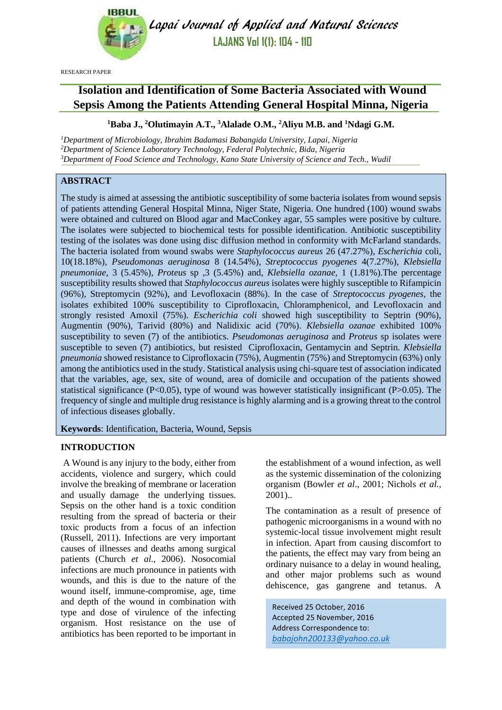

Lapai Journal of Applied and Natural Sciences **LAJANS Vol 1(1): 104 - 110**

RESEARCH PAPER

# **Isolation and Identification of Some Bacteria Associated with Wound Sepsis Among the Patients Attending General Hospital Minna, Nigeria**

## **<sup>1</sup>Baba J., <sup>2</sup>Olutimayin A.T., <sup>3</sup>Alalade O.M., <sup>2</sup>Aliyu M.B. and <sup>1</sup>Ndagi G.M.**

*<sup>1</sup>Department of Microbiology, Ibrahim Badamasi Babangida University, Lapai, Nigeria <sup>2</sup>Department of Science Laboratory Technology, Federal Polytechnic, Bida, Nigeria <sup>3</sup>Department of Food Science and Technology, Kano State University of Science and Tech., Wudil*

# **ABSTRACT**

The study is aimed at assessing the antibiotic susceptibility of some bacteria isolates from wound sepsis of patients attending General Hospital Minna, Niger State, Nigeria. One hundred (100) wound swabs were obtained and cultured on Blood agar and MacConkey agar, 55 samples were positive by culture. The isolates were subjected to biochemical tests for possible identification. Antibiotic susceptibility testing of the isolates was done using disc diffusion method in conformity with McFarland standards. The bacteria isolated from wound swabs were *Staphylococcus aureus* 26 (47.27%)*, Escherichia* coli, 10(18.18%)*, Pseudomonas aeruginosa* 8 (14.54%)*, Streptococcus pyogenes* 4(7.27%)*, Klebsiella pneumoniae*, 3 (5.45%)*, Proteus* sp ,3 (5.45%) and, *Klebsiella ozanae*, 1 (1.81%)*.*The percentage susceptibility results showed that *Staphylococcus aureus* isolates were highly susceptible to Rifampicin (96%), Streptomycin (92%), and Levofloxacin (88%). In the case of *Streptococcus pyogenes,* the isolates exhibited 100% susceptibility to Ciprofloxacin, Chloramphenicol, and Levofloxacin and strongly resisted Amoxil (75%). *Escherichia coli* showed high susceptibility to Septrin (90%), Augmentin (90%), Tarivid (80%) and Nalidixic acid (70%). *Klebsiella ozanae* exhibited 100% susceptibility to seven (7) of the antibiotics. *Pseudomonas aeruginosa* and *Proteus* sp isolates were susceptible to seven (7) antibiotics, but resisted Ciprofloxacin, Gentamycin and Septrin. *Klebsiella pneumonia* showed resistance to Ciprofloxacin (75%), Augmentin (75%) and Streptomycin (63%) only among the antibiotics used in the study. Statistical analysis using chi-square test of association indicated that the variables, age, sex, site of wound, area of domicile and occupation of the patients showed statistical significance (P<0.05), type of wound was however statistically insignificant (P>0.05). The frequency of single and multiple drug resistance is highly alarming and is a growing threat to the control of infectious diseases globally.

**Keywords**: Identification, Bacteria, Wound, Sepsis

#### **INTRODUCTION**

A Wound is any injury to the body, either from accidents, violence and surgery, which could involve the breaking of membrane or laceration and usually damage the underlying tissues. Sepsis on the other hand is a toxic condition resulting from the spread of bacteria or their toxic products from a focus of an infection (Russell, 2011). Infections are very important causes of illnesses and deaths among surgical patients (Church *et al.,* 2006). Nosocomial infections are much pronounce in patients with wounds, and this is due to the nature of the wound itself, immune-compromise, age, time and depth of the wound in combination with type and dose of virulence of the infecting organism. Host resistance on the use of antibiotics has been reported to be important in

the establishment of a wound infection, as well as the systemic dissemination of the colonizing organism (Bowler *et al*., 2001; Nichols *et al.,*  2001)..

The contamination as a result of presence of pathogenic microorganisms in a wound with no systemic-local tissue involvement might result in infection. Apart from causing discomfort to the patients, the effect may vary from being an ordinary nuisance to a delay in wound healing, and other major problems such as wound dehiscence, gas gangrene and tetanus. A

Received 25 October, 2016 Accepted 25 November, 2016 Address Correspondence to: *[babajohn200133@yahoo.co.uk](mailto:babajohn200133@yahoo.co.uk)*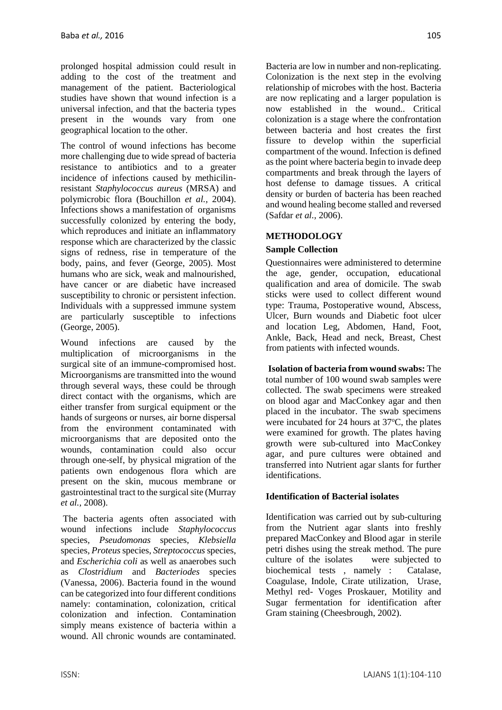prolonged hospital admission could result in adding to the cost of the treatment and management of the patient. Bacteriological studies have shown that wound infection is a universal infection, and that the bacteria types present in the wounds vary from one geographical location to the other.

The control of wound infections has become more challenging due to wide spread of bacteria resistance to antibiotics and to a greater incidence of infections caused by methicilinresistant *Staphylococcus aureus* (MRSA) and polymicrobic flora (Bouchillon *et al.,* 2004). Infections shows a manifestation of organisms successfully colonized by entering the body, which reproduces and initiate an inflammatory response which are characterized by the classic signs of redness, rise in temperature of the body, pains, and fever (George, 2005). Most humans who are sick, weak and malnourished, have cancer or are diabetic have increased susceptibility to chronic or persistent infection. Individuals with a suppressed immune system are particularly susceptible to infections (George, 2005).

Wound infections are caused by the multiplication of microorganisms in the surgical site of an immune-compromised host. Microorganisms are transmitted into the wound through several ways, these could be through direct contact with the organisms, which are either transfer from surgical equipment or the hands of surgeons or nurses, air borne dispersal from the environment contaminated with microorganisms that are deposited onto the wounds, contamination could also occur through one-self, by physical migration of the patients own endogenous flora which are present on the skin, mucous membrane or gastrointestinal tract to the surgical site (Murray *et al.,* 2008).

The bacteria agents often associated with wound infections include *Staphylococcus*  species*, Pseudomonas* species*, Klebsiella*  species*, Proteus*species, *Streptococcus* species, and *Escherichia coli* as well as anaerobes such as *Clostridium* and *Bacteriodes* species (Vanessa, 2006). Bacteria found in the wound can be categorized into four different conditions namely: contamination, colonization, critical colonization and infection. Contamination simply means existence of bacteria within a wound. All chronic wounds are contaminated.

Bacteria are low in number and non-replicating. Colonization is the next step in the evolving relationship of microbes with the host. Bacteria are now replicating and a larger population is now established in the wound.. Critical colonization is a stage where the confrontation between bacteria and host creates the first fissure to develop within the superficial compartment of the wound. Infection is defined as the point where bacteria begin to invade deep compartments and break through the layers of host defense to damage tissues. A critical density or burden of bacteria has been reached and wound healing become stalled and reversed (Safdar *et al.,* 2006).

## **METHODOLOGY**

#### **Sample Collection**

Questionnaires were administered to determine the age, gender, occupation, educational qualification and area of domicile. The swab sticks were used to collect different wound type: Trauma, Postoperative wound, Abscess, Ulcer, Burn wounds and Diabetic foot ulcer and location Leg, Abdomen, Hand, Foot, Ankle, Back, Head and neck, Breast, Chest from patients with infected wounds.

**Isolation of bacteria from wound swabs:** The total number of 100 wound swab samples were collected. The swab specimens were streaked on blood agar and MacConkey agar and then placed in the incubator. The swab specimens were incubated for 24 hours at  $37^{\circ}$ C, the plates were examined for growth. The plates having growth were sub-cultured into MacConkey agar, and pure cultures were obtained and transferred into Nutrient agar slants for further identifications.

## **Identification of Bacterial isolates**

Identification was carried out by sub-culturing from the Nutrient agar slants into freshly prepared MacConkey and Blood agar in sterile petri dishes using the streak method. The pure culture of the isolates were subjected to biochemical tests , namely : Catalase, Coagulase, Indole, Cirate utilization, Urase, Methyl red- Voges Proskauer, Motility and Sugar fermentation for identification after Gram staining (Cheesbrough, 2002).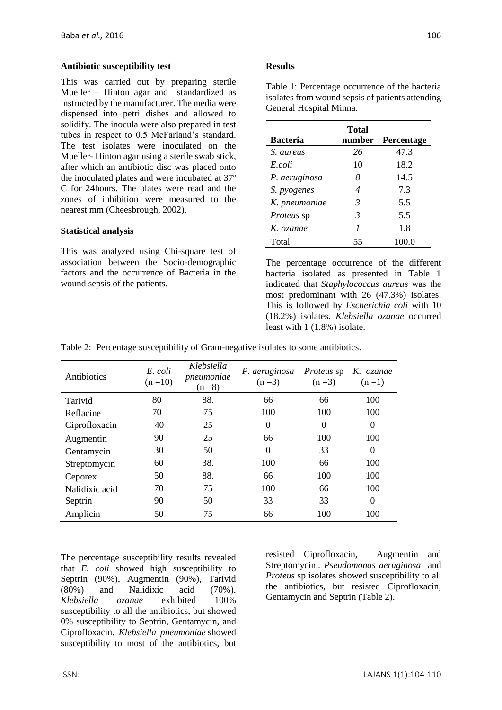#### **Antibiotic susceptibility test**

This was carried out by preparing sterile Mueller – Hinton agar and standardized as instructed by the manufacturer. The media were dispensed into petri dishes and allowed to solidify. The inocula were also prepared in test tubes in respect to 0.5 McFarland's standard. The test isolates were inoculated on the Mueller- Hinton agar using a sterile swab stick, after which an antibiotic disc was placed onto the inoculated plates and were incubated at 37° C for 24hours. The plates were read and the zones of inhibition were measured to the nearest mm (Cheesbrough, 2002).

#### **Statistical analysis**

This was analyzed using Chi-square test of association between the Socio-demographic factors and the occurrence of Bacteria in the wound sepsis of the patients.

## **Results**

| isolates from wound sepsis of patients attending<br>General Hospital Minna. |              |                   |  |
|-----------------------------------------------------------------------------|--------------|-------------------|--|
| <b>Bacteria</b>                                                             | <b>Total</b> | number Percentage |  |
| S. aureus                                                                   | 26           | 47.3              |  |
| E coli                                                                      | 10           | 18.2              |  |
| P. aeruginosa                                                               |              | 14.5              |  |

*S. pyogenes 4* 7.3 *K. pneumoniae 3* 5.5 *Proteus* sp *3* 5.5 *K. ozanae 1* 1.8 Total 55 100.0

Table 1: Percentage occurrence of the bacteria

The percentage occurrence of the different bacteria isolated as presented in Table 1 indicated that *Staphylococcus aureus* was the most predominant with 26 (47.3%) isolates. This is followed by *Escherichia coli* with 10 (18.2%) isolates. *Klebsiella ozanae* occurred least with 1 (1.8%) isolate.

|  |  |  | Table 2: Percentage susceptibility of Gram-negative isolates to some antibiotics. |
|--|--|--|-----------------------------------------------------------------------------------|
|  |  |  |                                                                                   |

| Antibiotics    | E. coli<br>$(n=10)$ | Klebsiella<br>pneumoniae<br>$(n=8)$ | P. aeruginosa<br>$(n=3)$ | <i>Proteus</i> sp<br>$(n=3)$ | K. ozanae<br>$(n=1)$ |
|----------------|---------------------|-------------------------------------|--------------------------|------------------------------|----------------------|
| Tarivid        | 80                  | 88.                                 | 66                       | 66                           | 100                  |
| Reflacine      | 70                  | 75                                  | 100                      | 100                          | 100                  |
| Ciprofloxacin  | 40                  | 25                                  | $\theta$                 | $\theta$                     | $\theta$             |
| Augmentin      | 90                  | 25                                  | 66                       | 100                          | 100                  |
| Gentamycin     | 30                  | 50                                  | $\theta$                 | 33                           | $\theta$             |
| Streptomycin   | 60                  | 38.                                 | 100                      | 66                           | 100                  |
| Ceporex        | 50                  | 88.                                 | 66                       | 100                          | 100                  |
| Nalidixic acid | 70                  | 75                                  | 100                      | 66                           | 100                  |
| Septrin        | 90                  | 50                                  | 33                       | 33                           | $\theta$             |
| Amplicin       | 50                  | 75                                  | 66                       | 100                          | 100                  |

The percentage susceptibility results revealed that *E. coli* showed high susceptibility to Septrin (90%), Augmentin (90%), Tarivid (80%) and Nalidixic acid (70%). *Klebsiella ozanae* exhibited 100% susceptibility to all the antibiotics, but showed 0% susceptibility to Septrin, Gentamycin, and Ciprofloxacin. *Klebsiella pneumoniae* showed susceptibility to most of the antibiotics, but resisted Ciprofloxacin, Augmentin and Streptomycin.*. Pseudomonas aeruginosa* and *Proteus* sp isolates showed susceptibility to all the antibiotics, but resisted Ciprofloxacin, Gentamycin and Septrin (Table 2).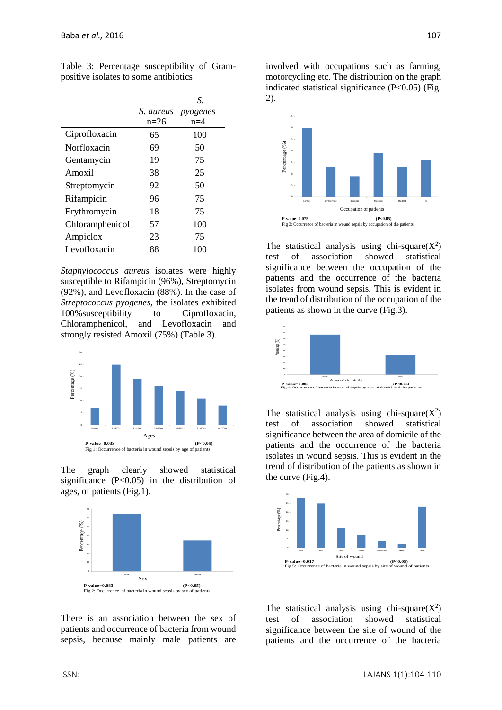|                 | S. aureus | S.<br>pyogenes |
|-----------------|-----------|----------------|
|                 | $n=26$    | $n=4$          |
| Ciprofloxacin   | 65        | 100            |
| Norfloxacin     | 69        | 50             |
| Gentamycin      | 19        | 75             |
| Amoxil          | 38        | 25             |
| Streptomycin    | 92        | 50             |
| Rifampicin      | 96        | 75             |
| Erythromycin    | 18        | 75             |
| Chloramphenicol | 57        | 100            |
| Ampiclox        | 23        | 75             |
| Levofloxacin    | 88        | 100            |

Table 3: Percentage susceptibility of Grampositive isolates to some antibiotics

*Staphylococcus aureus* isolates were highly susceptible to Rifampicin (96%), Streptomycin (92%), and Levofloxacin (88%). In the case of *Streptococcus pyogenes,* the isolates exhibited 100%susceptibility to Ciprofloxacin, Chloramphenicol, and Levofloxacin and strongly resisted Amoxil (75%) (Table 3).



The graph clearly showed statistical significance (P<0.05) in the distribution of ages, of patients (Fig.1).



There is an association between the sex of patients and occurrence of bacteria from wound sepsis, because mainly male patients are

involved with occupations such as farming, motorcycling etc. The distribution on the graph indicated statistical significance (P<0.05) (Fig. 2).



The statistical analysis using chi-square $(X^2)$ test of association showed statistical significance between the occupation of the patients and the occurrence of the bacteria isolates from wound sepsis. This is evident in the trend of distribution of the occupation of the patients as shown in the curve (Fig.3).



The statistical analysis using chi-square $(X^2)$ test of association showed statistical significance between the area of domicile of the patients and the occurrence of the bacteria isolates in wound sepsis. This is evident in the trend of distribution of the patients as shown in the curve (Fig.4).



The statistical analysis using chi-square $(X^2)$ test of association showed statistical significance between the site of wound of the patients and the occurrence of the bacteria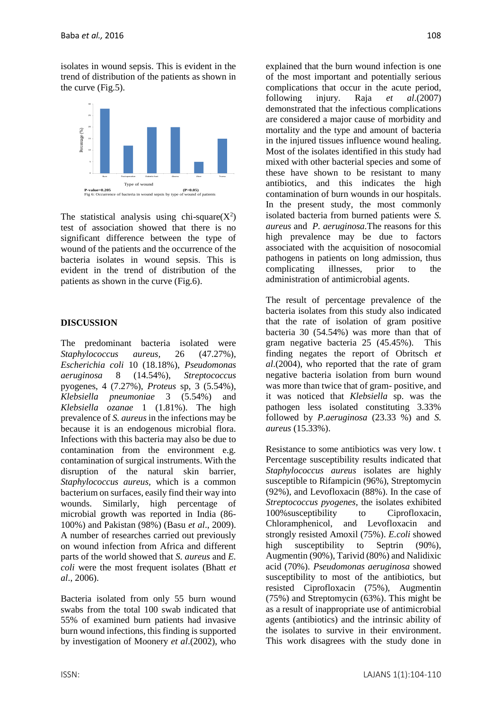isolates in wound sepsis. This is evident in the trend of distribution of the patients as shown in the curve (Fig.5).



The statistical analysis using chi-square $(X^2)$ test of association showed that there is no significant difference between the type of wound of the patients and the occurrence of the bacteria isolates in wound sepsis. This is evident in the trend of distribution of the patients as shown in the curve (Fig.6).

## **DISCUSSION**

The predominant bacteria isolated were *Staphylococcus aureus,* 26 (47.27%), *Escherichia coli* 10 (18.18%), *Pseudomonas aeruginosa* 8 (14.54%), *Streptococcus*  pyogenes, 4 (7.27%), *Proteus* sp, 3 (5.54%), *Klebsiella pneumoniae* 3 (5.54%) and *Klebsiella ozanae* 1 (1.81%). The high prevalence of *S. aureus* in the infections may be because it is an endogenous microbial flora. Infections with this bacteria may also be due to contamination from the environment e.g. contamination of surgical instruments. With the disruption of the natural skin barrier, *Staphylococcus aureus,* which is a common bacterium on surfaces, easily find their way into wounds. Similarly, high percentage of microbial growth was reported in India (86- 100%) and Pakistan (98%) (Basu *et al*., 2009). A number of researches carried out previously on wound infection from Africa and different parts of the world showed that *S. aureus* and *E. coli* were the most frequent isolates (Bhatt *et al*., 2006).

Bacteria isolated from only 55 burn wound swabs from the total 100 swab indicated that 55% of examined burn patients had invasive burn wound infections, this finding is supported by investigation of Moonery *et al*.(2002), who explained that the burn wound infection is one of the most important and potentially serious complications that occur in the acute period, following injury. Raja *et al*.(2007) demonstrated that the infectious complications are considered a major cause of morbidity and mortality and the type and amount of bacteria in the injured tissues influence wound healing. Most of the isolates identified in this study had mixed with other bacterial species and some of these have shown to be resistant to many antibiotics, and this indicates the high contamination of burn wounds in our hospitals. In the present study, the most commonly isolated bacteria from burned patients were *S. aureus* and *P. aeruginosa.*The reasons for this high prevalence may be due to factors associated with the acquisition of nosocomial pathogens in patients on long admission, thus complicating illnesses, prior to the administration of antimicrobial agents.

The result of percentage prevalence of the bacteria isolates from this study also indicated that the rate of isolation of gram positive bacteria 30 (54.54%) was more than that of gram negative bacteria 25 (45.45%). This finding negates the report of Obritsch *et al*.(2004), who reported that the rate of gram negative bacteria isolation from burn wound was more than twice that of gram- positive, and it was noticed that *Klebsiella* sp. was the pathogen less isolated constituting 3.33% followed by *P.aeruginosa* (23.33 %) and *S. aureus* (15.33%).

Resistance to some antibiotics was very low. t Percentage susceptibility results indicated that *Staphylococcus aureus* isolates are highly susceptible to Rifampicin (96%), Streptomycin (92%), and Levofloxacin (88%). In the case of *Streptococcus pyogenes,* the isolates exhibited 100%susceptibility to Ciprofloxacin, Chloramphenicol, and Levofloxacin and strongly resisted Amoxil (75%). *E.coli* showed high susceptibility to Septrin (90%), Augmentin (90%), Tarivid (80%) and Nalidixic acid (70%). *Pseudomonas aeruginosa* showed susceptibility to most of the antibiotics, but resisted Ciprofloxacin (75%), Augmentin (75%) and Streptomycin (63%). This might be as a result of inappropriate use of antimicrobial agents (antibiotics) and the intrinsic ability of the isolates to survive in their environment. This work disagrees with the study done in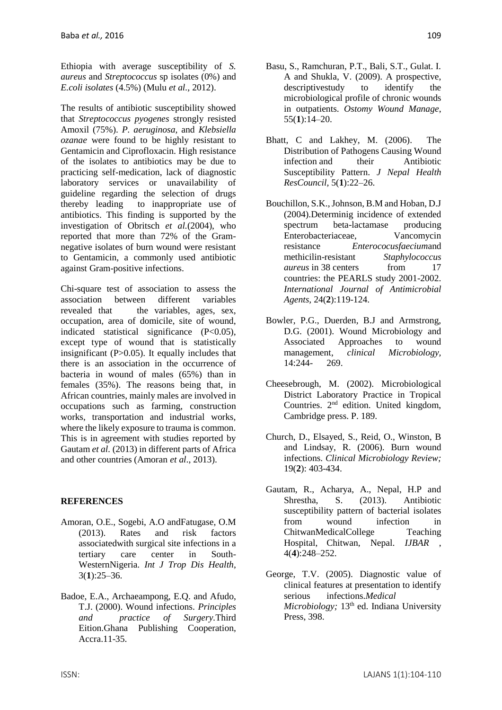Ethiopia with average susceptibility of *S. aureus* and *Streptococcus* sp isolates (0%) and *E.coli isolates* (4.5%) (Mulu *et al.,* 2012).

The results of antibiotic susceptibility showed that *Streptococcus pyogenes* strongly resisted Amoxil (75%). *P. aeruginosa,* and *Klebsiella ozanae* were found to be highly resistant to Gentamicin and Ciprofloxacin. High resistance of the isolates to antibiotics may be due to practicing self-medication, lack of diagnostic laboratory services or unavailability of guideline regarding the selection of drugs thereby leading to inappropriate use of antibiotics. This finding is supported by the investigation of Obritsch *et al.*(2004), who reported that more than 72% of the Gramnegative isolates of burn wound were resistant to Gentamicin, a commonly used antibiotic against Gram-positive infections.

Chi-square test of association to assess the association between different variables revealed that the variables, ages, sex, occupation, area of domicile, site of wound, indicated statistical significance (P<0.05), except type of wound that is statistically insignificant (P>0.05). It equally includes that there is an association in the occurrence of bacteria in wound of males (65%) than in females (35%). The reasons being that, in African countries, mainly males are involved in occupations such as farming, construction works, transportation and industrial works, where the likely exposure to trauma is common. This is in agreement with studies reported by Gautam *et al.* (2013) in different parts of Africa and other countries (Amoran *et al*., 2013).

## **REFERENCES**

- Amoran, O.E., Sogebi, A.O andFatugase, O.M (2013). Rates and risk factors associatedwith surgical site infections in a tertiary care center in South-WesternNigeria. *Int J Trop Dis Health*, 3(**1**):25–36.
- Badoe, E.A., Archaeampong, E.Q. and Afudo, T.J. (2000). Wound infections. *Principles and practice of Surgery.*Third Eition.Ghana Publishing Cooperation, Accra.11-35.
- Basu, S., Ramchuran, P.T., Bali, S.T., Gulat. I. A and Shukla, V. (2009). A prospective, descriptivestudy to identify the microbiological profile of chronic wounds in outpatients. *Ostomy Wound Manage*, 55(**1**):14–20.
- Bhatt, C and Lakhey, M. (2006). The Distribution of Pathogens Causing Wound infection and their Antibiotic Susceptibility Pattern. *J Nepal Health ResCouncil,* 5(**1**):22–26.
- Bouchillon, S.K., Johnson, B.M and Hoban, D.J (2004).Determinig incidence of extended spectrum beta-lactamase producing Enterobacteriaceae, Vancomycin resistance *Enterococusfaecium*and methicilin-resistant *Staphylococcus aureus* in 38 centers from 17 countries: the PEARLS study 2001-2002. *International Journal of Antimicrobial Agents,* 24(**2**):119-124.
- Bowler, P.G., Duerden, B.J and Armstrong, D.G. (2001). Wound Microbiology and Associated Approaches to wound management, *clinical Microbiology,*  14:244- 269.
- Cheesebrough, M. (2002). Microbiological District Laboratory Practice in Tropical Countries. 2nd edition. United kingdom, Cambridge press. P. 189.
- Church, D., Elsayed, S., Reid, O., Winston, B and Lindsay, R. (2006). Burn wound infections. *Clinical Microbiology Review;*  19(**2**): 403-434.
- Gautam, R., Acharya, A., Nepal, H.P and Shrestha, S. (2013). Antibiotic susceptibility pattern of bacterial isolates from wound infection in ChitwanMedicalCollege Teaching Hospital, Chitwan, Nepal. *IJBAR* , 4(**4**):248–252.
- George, T.V. (2005). Diagnostic value of clinical features at presentation to identify serious infections.*Medical Microbiology*; 13<sup>th</sup> ed. Indiana University Press, 398.